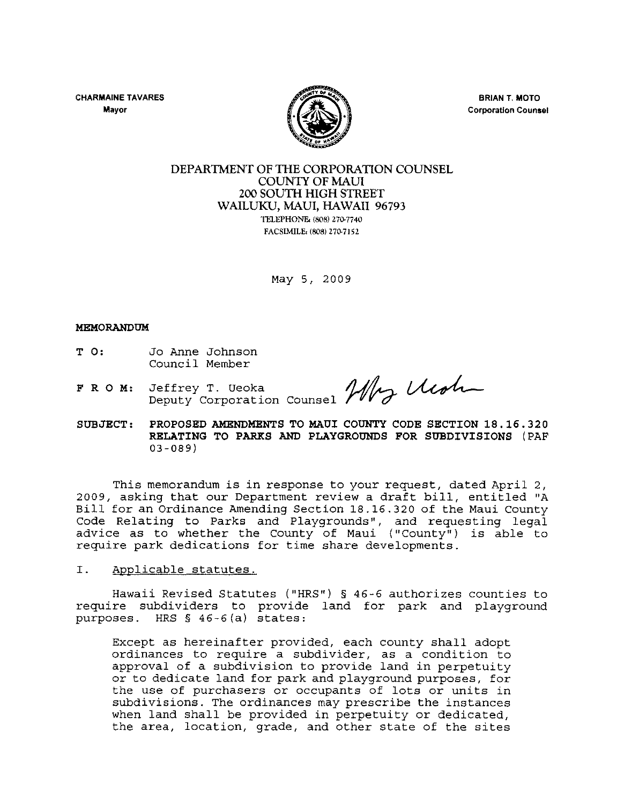CHARMAINE TAVARES **Mayor** 



BRIAN T. MOTO **Corporation Counsel** 

### DEPARTMENT OF THE CORPORATION COUNSEL COUNIY OF MAUl 200 SOUTH HIGH STREET WAILUKU, MAUl, HAWAII 96793 TELEPHONE. (SOB) 270-7740

FACSIMILE: (808) 270-7152

May 5, 2009

#### MEMORANDUM

- T 0: Jo Anne Johnson Council Member
- FRO M: Deputy Jeffrey Corporation T. Ueoka

COUNSEE Media

SUBJECT: PROPOSED AMENDMENTS TO MAUl COUNTY CODE SECTION 18. 16.320 RELATING TO PARKS AND PLAYGROUNDS FOR SUBDIVISIONS (PAF 03-089)

This memorandum is in response to your request, dated April 2, 2009, asking that our Department review a draft bill, entitled "A Bill for an Ordinance Amending Section 18.16.320 of the Maui County Code Relating to Parks and Playgrounds", and requesting legal advice as to whether the County of Maui ("County") is able to require park dedications for time share developments.

I. Applicable statutes.

Hawaii Revised Statutes ("HRS") § 46 -6 authorizes counties to require subdividers to provide land for park and playground purposes. HRS § 46-6(a) states:

Except as hereinafter provided, each county shall adopt ordinances to require a subdivider, as a condition to approval of a subdivision to provide land in perpetuity or to dedicate land for park and playground purposes, for the use of purchasers or occupants of lots or units in subdivisions. The ordinances may prescribe the instances when land shall be provided in perpetuity or dedicated, the area, location, grade, and other state of the sites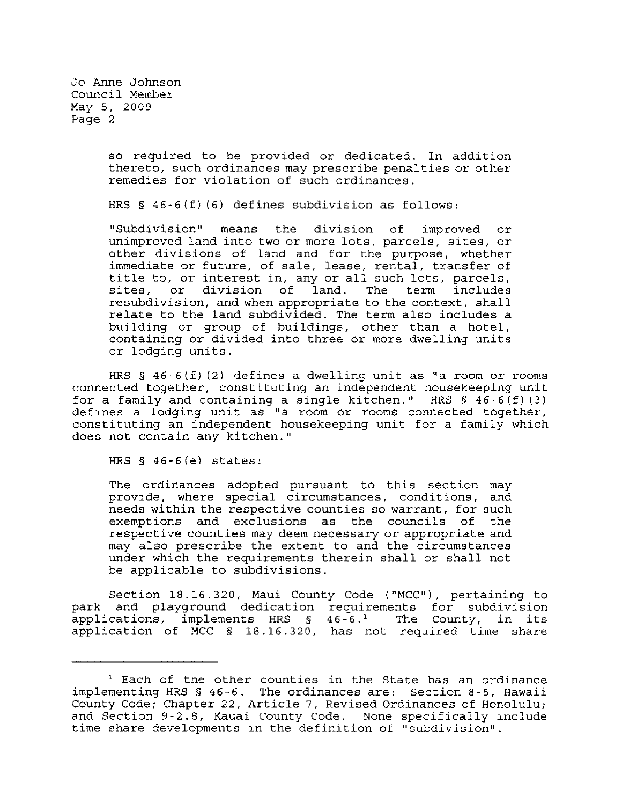> so required to be provided or dedicated. In addition thereto, such ordinances may prescribe penalties or other remedies for violation of such ordinances.

HRS § 46-6(f) (6) defines subdivision as follows:

"Subdivision" means the division of improved or unimproved land into two or more lots, parcels, sites, or other divisions of land and for the purpose, whether immediate or future, of sale, lease, rental, transfer of title to, or interest in, any or all such lots, parcels,<br>sites, or division of land. The term includes division of resubdivision, and when appropriate to the context, shall relate to the land subdivided. The term also includes a building or group of buildings, other than a hotel, containing or divided into three or more dwelling units or lodging units.

HRS § 46-6(f) (2) defines a dwelling unit as "a room or rooms connected together, constituting an independent housekeeping unit for a family and containing a single kitchen." HRS  $\S$  46-6(f)(3) def ines a lodging unit as "a room or rooms connected together, constituting an independent housekeeping unit for a family which does not contain any kitchen."

HRS § 46-6(e) states:

The ordinances adopted pursuant to this section may provide, where special circumstances, conditions, and needs within the respective counties so warrant, for such exemptions and exclusions as the councils of the respective counties may deem necessary or appropriate and may also prescribe the extent to and the circumstances under which the requirements therein shall or shall not be applicable to subdivisions.

Section 18.16.320, Maui County Code ("MCC"), pertaining to park and playground dedication requirements for subdivision applications, implements HRS  $\S$  46-6.<sup>1</sup> The County, in its applications, implements HRS  $§$  46-6.<sup>1</sup> The County, in its application of MCC § 18.16.320, has not required time share

<sup>&</sup>lt;sup>1</sup> Each of the other counties in the State has an ordinance implementing HRS § 46-6. The ordinances are: Section 8-5, Hawaii County Code; Chapter 22, Article 7, Revised Ordinances of Honolulu; and Section 9-2.8, Kauai County Code. None specifically include time share developments in the definition of "subdivision".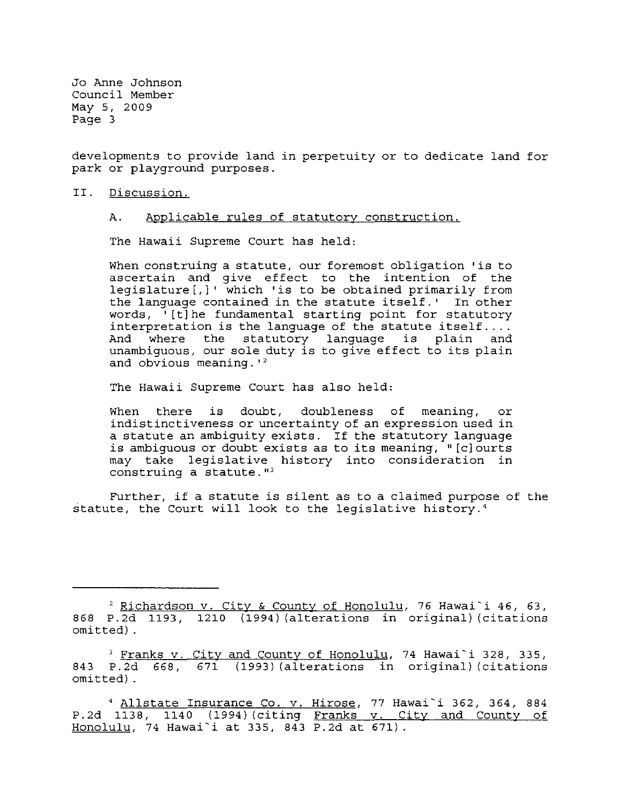developments to provide land in perpetuity or to dedicate land for park or playground purposes.

- II. Discussion.
	- A. Applicable rules of statutory construction.

The Hawaii Supreme Court has held:

When construing a statute, our foremost obligation 'is to ascertain and give effect to the intention of the legislature[,]' which 'is to be obtained primarily from the language contained in the statute itself.' In other words, '[t]he fundamental starting point for statutory interpretation is the language of the statute itself.... And where the statutory language is plain and unambiguous, our sole duty is to give effect to its plain and obvious meaning.  $1^2$ 

The Hawaii Supreme Court has also held:

When there is doubt, doubleness of meaning, or indistinctiveness or uncertainty of an expression used in a statute an ambiguity exists. If the statutory language is ambiguous or doubt exists as to its meaning, "[c] ourts may take legislative history into consideration in construing a statute.<sup>"3</sup>

Further, if a statute is silent as to a claimed purpose of the statute, the Court will look to the legislative history.<sup>4</sup>

<sup>2</sup> Richardson v. City & County of Honolulu, 76 Hawai'i 46, 63, 868 P.2d 1193, 1210 (1994) (alterations in original) (citations omitted) .

<sup>&</sup>lt;sup>3</sup> Franks v. City and County of Honolulu, 74 Hawai`i 328, 335, 843 P.2d 668, 671 (1993) (alterations in original) (citations omitted) .

<sup>&</sup>lt;sup>4</sup> Allstate Insurance Co. v. Hirose, 77 Hawai`i 362, 364, 884 P.2d 1138, 1140 (1994) (citing Franks v. City and County of 1.2d 1190, 1110 (1991) (Croing <u>framed theory</u>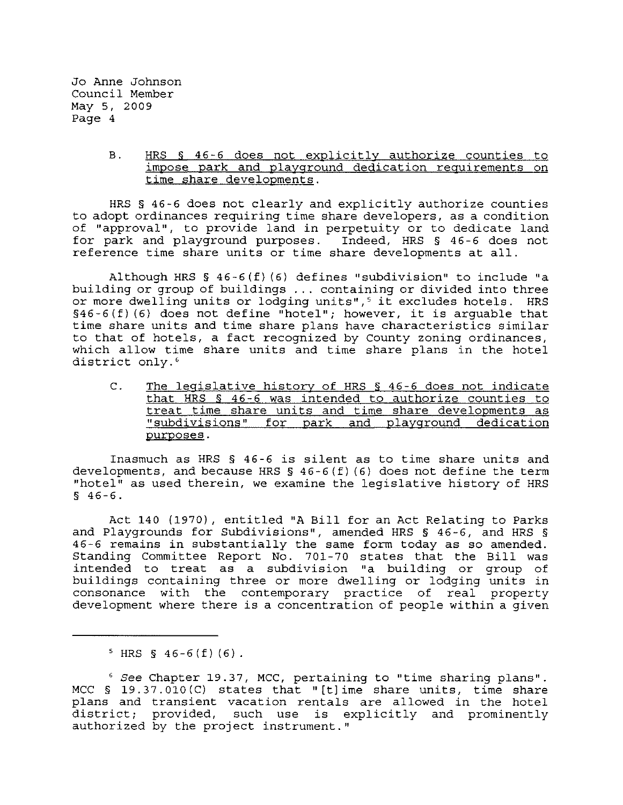### B. HRS § 46-6 does not explicitly authorize counties to impose park and playground dedication requirements on time share developments.

HRS § 46-6 does not clearly and explicitly authorize counties to adopt ordinances requiring time share developers, as a condition of "approval", to provide land in perpetuity or to dedicate land for park and playground purposes. Indeed, HRS § 46-6 does not reference time share units or time share developments at all.

Although HRS § 46-6 (f) (6) defines "subdivision" to include "a building or group of buildings ... containing or divided into three or more dwelling units or lodging units",<sup>5</sup> it excludes hotels. HRS §46-6 (f) (6) does not define "hotel"; however, it is arguable that time share units and time share plans have characteristics similar to that of hotels, a fact recognized by County zoning ordinances, which allow time share units and time share plans in the hotel district only.<sup>6</sup>

C. The legislative history of HRS § 46-6 does not indicate that HRS § 46-6 was intended to authorize counties to treat time share units and time share developments as "subdivisions" for park and playground dedication purposes.

Inasmuch as HRS § 46-6 is silent as to time share units and developments, and because HRS  $\S$  46-6(f)(6) does not define the term "hotel" as used therein, we examine the legislative history of HRS  $$46-6.$ 

Act 140 (1970), entitled "A Bill for an Act Relating to Parks and Playgrounds for Subdivisions", amended HRS § 46-6, and HRS § 46-6 remains in substantially the same form today as so amended. Standing Committee Report No. 701-70 states that the Bill was intended to treat as a subdivision "a building or group of buildings containing three or more dwelling or lodging units in consonance with the contemporary practice of real property development where there is a concentration of people within a given

 $5$  HRS § 46-6(f)(6).

<sup>6</sup>*See* Chapter 19.37, MCC, pertaining to "time sharing plans". MCC § 19.37.010(C) states that "[tlime share units, time share plans and transient vacation rentals are allowed in the hotel district; provided, such use is explicitly and prominently authorized by the project instrument."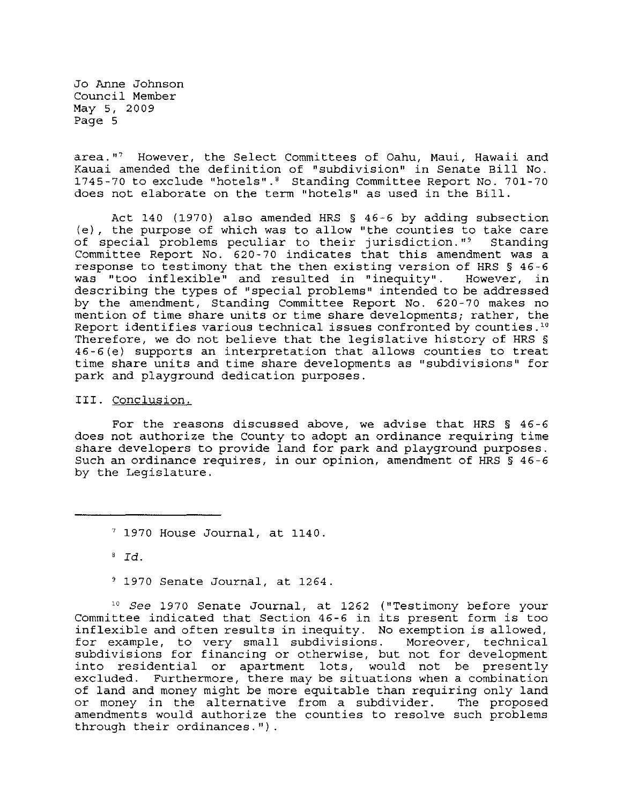area."<sup>7</sup> However, the Select Committees of Oahu, Maui, Hawaii and Kauai amended the definition of "subdivision" in Senate Bill No. 1745-70 to exclude "hotels".' Standing Committee Report No. 701-70 does not elaborate on the term "hotels" as used in the Bill.

Act 140 (1970) also amended HRS § 46-6 by adding subsection (e), the purpose of which was to allow "the counties to take care of special problems peculiar to their jurisdiction."<sup>9</sup> Standing Committee Report No. 620-70 indicates that this amendment was a response to testimony that the then existing version of HRS § 46-6<br>was "too inflexible" and resulted in "inequity". However, in was "too inflexible" and resulted in "inequity". describing the types of "special problems" intended to be addressed by the amendment, Standing Committee Report No. 620-70 makes no mention of time share units or time share developments; rather, the Report identifies various technical issues confronted by counties .'0 Therefore, we do not believe that the legislative history of HRS § 46-6(e) supports an interpretation that allows counties to treat time share units and time share developments as "subdivisions" for park and playground dedication purposes.

III. Conclusion.

For the reasons discussed above, we advise that HRS § 46-6 does not authorize the County to adopt an ordinance requiring time share developers to provide land for park and playground purposes. Such an ordinance requires, in our opinion, amendment of HRS § 46-6 by the Legislature.

 $'$  1970 House Journal, at 1140.

<sup>8</sup>*Id.* 

, 1970 Senate Journal, at 1264.

10 See 1970 Senate Journal, at 1262 ("Testimony before your Committee indicated that Section 46-6 in its present form is too inflexible and often results in inequity. No exemption is allowed, for example, to very small subdivisions. Moreover, technical subdivisions for financing or otherwise, but not for development into residential or apartment lots, would not be presently excluded. Furthermore, there may be situations when a combination of land and money might be more equitable than requiring only land<br>or money in the alternative from a subdivider. The proposed or money in the alternative from a subdivider. amendments would authorize the counties to resolve such problems through their ordinances.").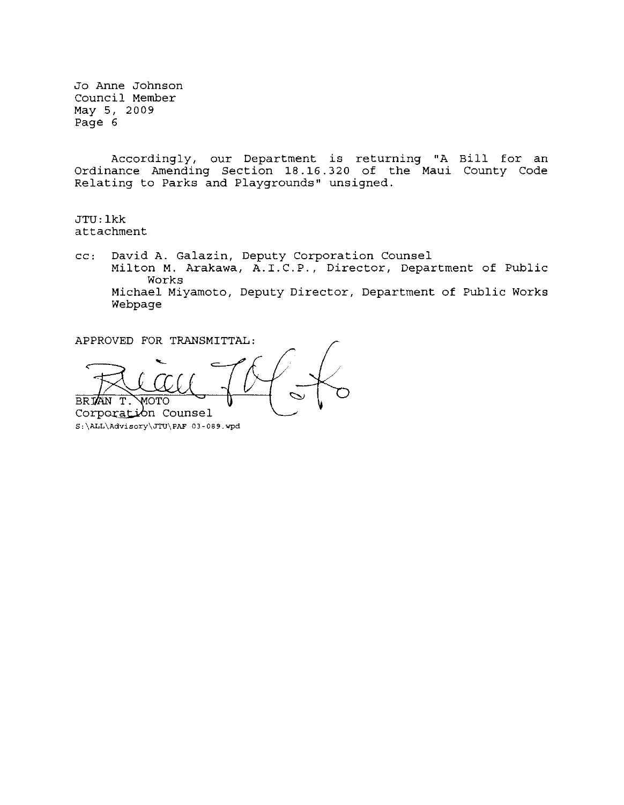Accordingly, our Department is returning "A Bill for an Ordinance Amending Section 18.16.320 of the Maui County Code Relating to Parks and Playgrounds" unsigned.

JTU: lkk attachment

cc: David A. Galazin, Deputy Corporation Counsel Milton M. Arakawa, A.I.C.P., Director, Department of Public Works Michael Miyamoto, Deputy Director, Department of Public Works Webpage

APPROVED FOR TRANSMITTAL:

**BRIAN**  $T$ . רידרא Corporation Counsel **S:\ALL\Advisory\JTU\PAF 03-089.wpd**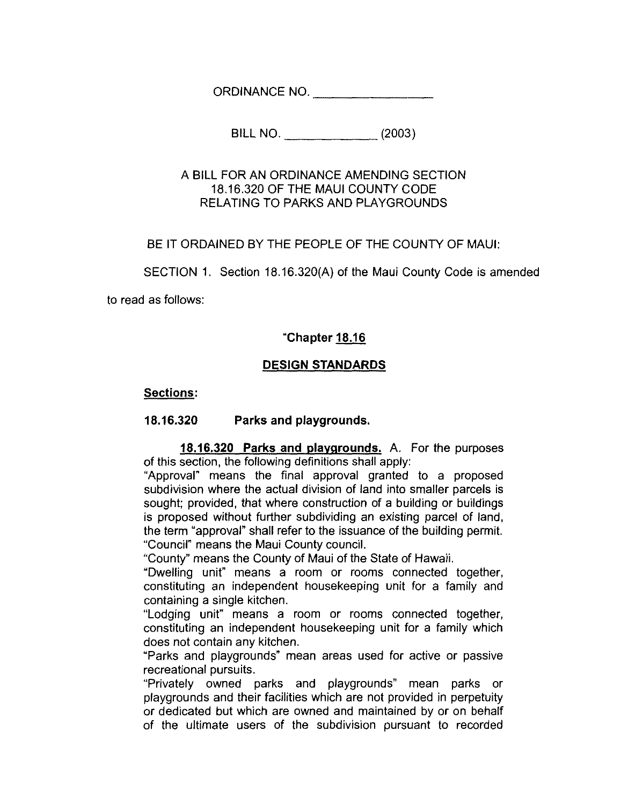ORDINANCE NO. \_\_\_\_\_\_\_\_\_\_\_\_\_\_\_

BILL NO. \_\_\_\_\_ (2003)

## A BILL FOR AN ORDINANCE AMENDING SECTION 18.16.320 OF THE MAUl COUNTY CODE RELATING TO PARKS AND PLAYGROUNDS

BE IT ORDAINED BY THE PEOPLE OF THE COUNTY OF MAUl:

SECTION 1. Section 18.16.320(A) of the Maui County Code is amended

to read as follows:

# **"Chapter 18.16**

# **DESIGN STANDARDS**

## **Sections:**

## **18.16.320 Parks and playgrounds.**

**18.16.320 Parks and playgrounds.** A. For the purposes of this section, the following definitions shall apply:

"Approval" means the final approval granted to a proposed subdivision where the actual division of land into smaller parcels is sought; provided, that where construction of a building or buildings is proposed without further subdividing an existing parcel of land, the term "approval" shall refer to the issuance of the building permit. "Council" means the Maui County council.

"County" means the County of Maui of the State of Hawaii.

"Dwelling unit" means a room or rooms connected together, constituting an independent housekeeping unit for a family and containing a single kitchen.

"Lodging unit" means a room or rooms connected together, constituting an independent housekeeping unit for a family which does not contain any kitchen.

"Parks and playgrounds" mean areas used for active or passive recreational pursuits.

"Privately owned parks and playgrounds" mean parks or playgrounds and their facilities which are not provided in perpetuity or dedicated but which are owned and maintained by or on behalf of the ultimate users of the subdivision pursuant to recorded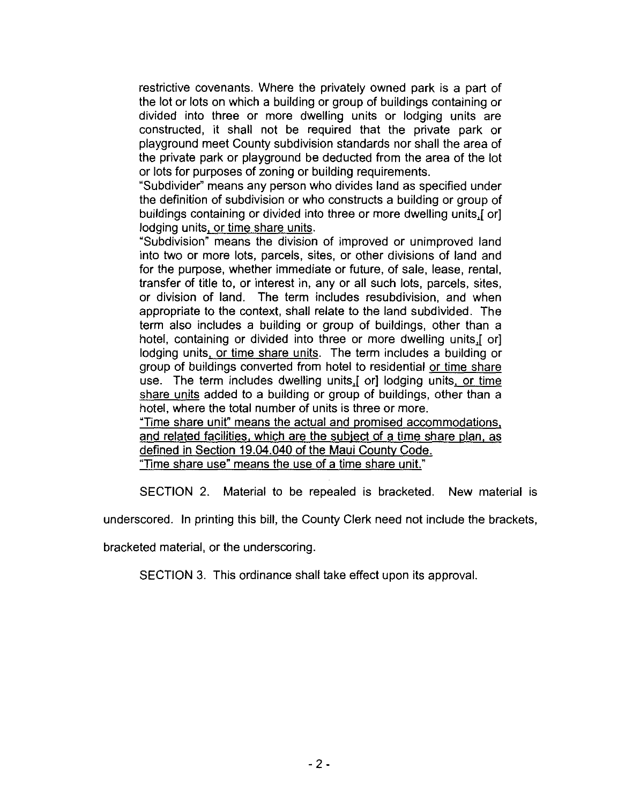restrictive covenants. Where the privately owned park is a part of the lot or lots on which a building or group of buildings containing or divided into three or more dwelling units or lodging units are constructed, it shall not be required that the private park or playground meet County subdivision standards nor shall the area of the private park or playground be deducted from the area of the lot or lots for purposes of zoning or building requirements.

"Subdivider" means any person who divides land as specified under the definition of subdivision or who constructs a building or group of buildings containing or divided into three or more dwelling units,[ or] lodging units, or time share units.

"Subdivision" means the division of improved or unimproved land into two or more lots, parcels, sites, or other divisions of land and for the purpose, whether immediate or future, of sale, lease, rental, transfer of title to, or interest in, any or all such lots, parcels, sites, or division of land. The term includes resubdivision, and when appropriate to the context, shall relate to the land subdivided. The term also includes a building or group of buildings, other than a hotel, containing or divided into three or more dwelling units,[ or] lodging units. or time share units. The term includes a building or group of buildings converted from hotel to residential or time share use. The term includes dwelling units, [ or] lodging units, or time share units added to a building or group of buildings, other than a hotel, where the total number of units is three or more. "Time share unit" means the actual and promised accommodations.

and related facilities. which are the subject of a time share plan. as defined in Section 19.04.040 of the Maui County Code.

"Time share use" means the use of a time share unit."

SECTION 2. Material to be repealed is bracketed. New material is

underscored. In printing this bill, the County Clerk need not include the brackets,

bracketed material, or the underscoring.

SECTION 3. This ordinance shall take effect upon its approval.